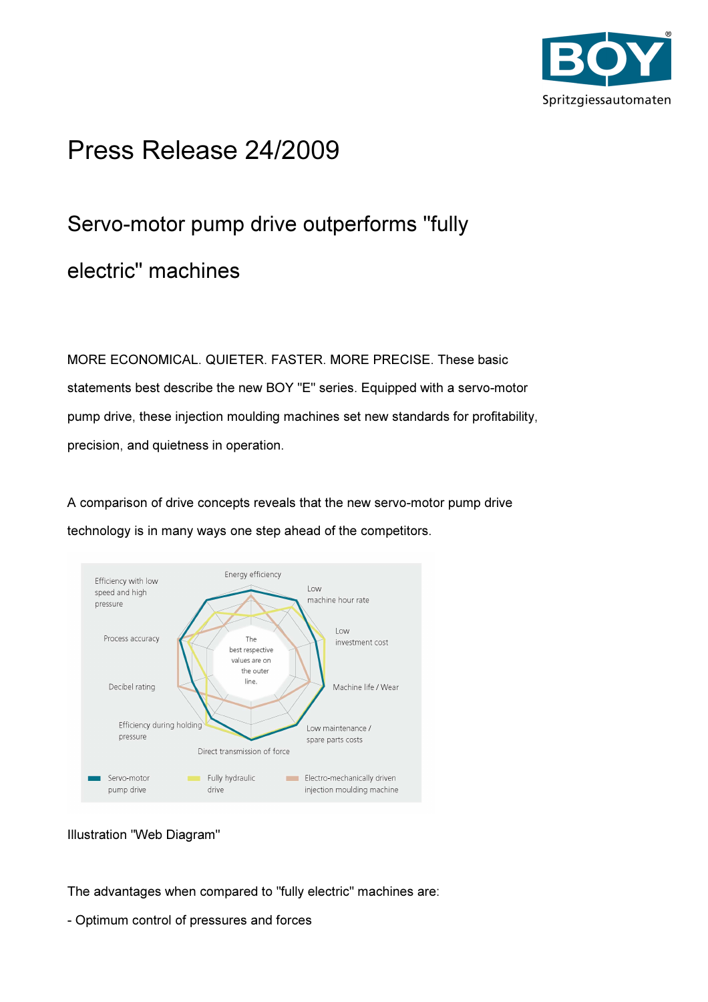

# Press Release 24/2009

# Servo-motor pump drive outperforms "fully electric" machines

MORE ECONOMICAL. QUIETER. FASTER. MORE PRECISE. These basic statements best describe the new BOY "E" series. Equipped with a servo-motor pump drive, these injection moulding machines set new standards for profitability, precision, and quietness in operation.

A comparison of drive concepts reveals that the new servo-motor pump drive technology is in many ways one step ahead of the competitors.



Illustration "Web Diagram"

The advantages when compared to "fully electric" machines are:

- Optimum control of pressures and forces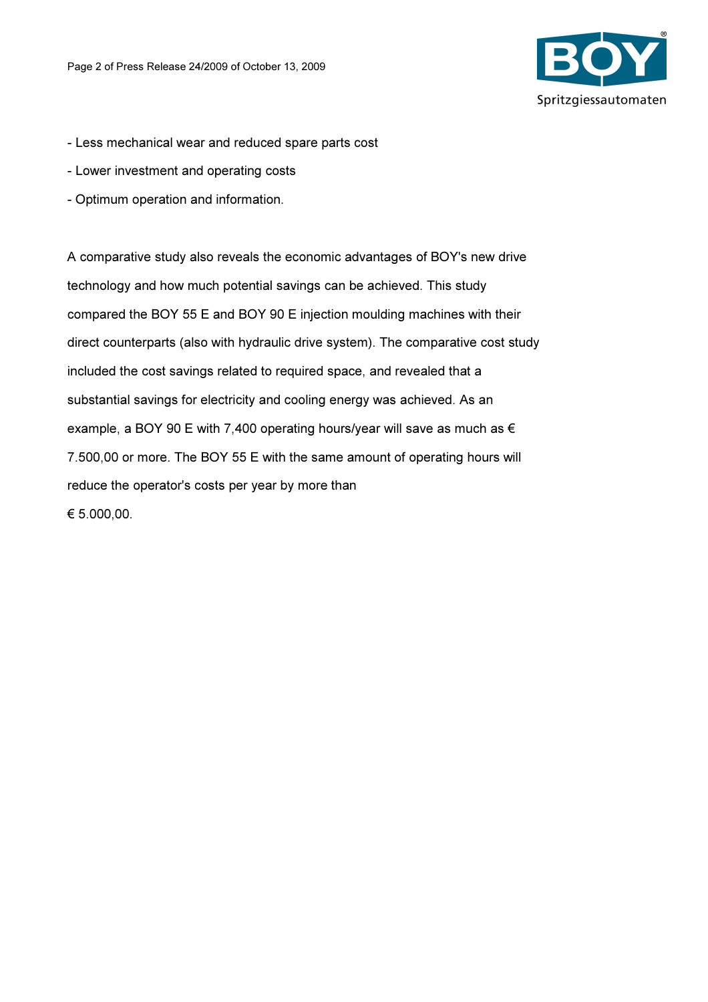

- Less mechanical wear and reduced spare parts cost
- Lower investment and operating costs
- Optimum operation and information.

A comparative study also reveals the economic advantages of BOY's new drive technology and how much potential savings can be achieved. This study compared the BOY 55 E and BOY 90 E injection moulding machines with their direct counterparts (also with hydraulic drive system). The comparative cost study included the cost savings related to required space, and revealed that a substantial savings for electricity and cooling energy was achieved. As an example, a BOY 90 E with 7,400 operating hours/year will save as much as  $\epsilon$ 7.500,00 or more. The BOY 55 E with the same amount of operating hours will reduce the operator's costs per year by more than € 5.000,00.